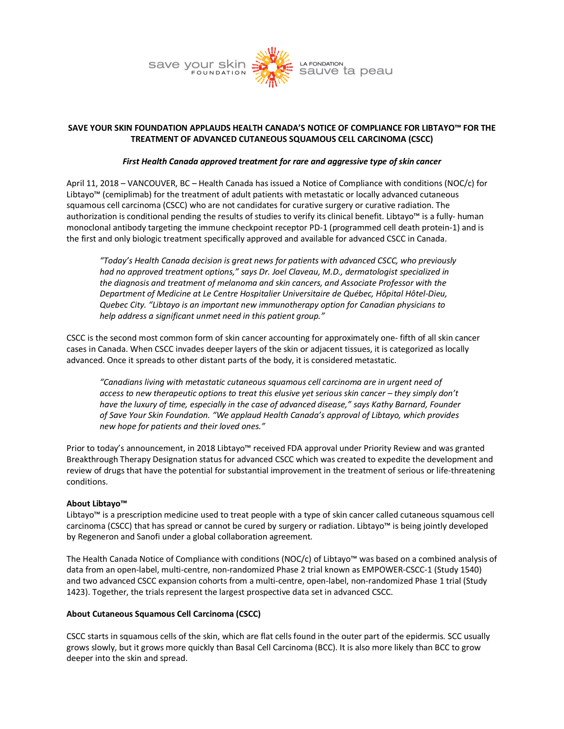

# **SAVE YOUR SKIN FOUNDATION APPLAUDS HEALTH CANADA'S NOTICE OF COMPLIANCE FOR LIBTAYO™ FOR THE TREATMENT OF ADVANCED CUTANEOUS SQUAMOUS CELL CARCINOMA (CSCC)**

## *First Health Canada approved treatment for rare and aggressive type of skin cancer*

April 11, 2018 – VANCOUVER, BC – Health Canada has issued a Notice of Compliance with conditions (NOC/c) for Libtayo™ (cemiplimab) for the treatment of adult patients with metastatic or locally advanced cutaneous squamous cell carcinoma (CSCC) who are not candidates for curative surgery or curative radiation. The authorization is conditional pending the results of studies to verify its clinical benefit. Libtayo™ is a fully- human monoclonal antibody targeting the immune checkpoint receptor PD-1 (programmed cell death protein-1) and is the first and only biologic treatment specifically approved and available for advanced CSCC in Canada.

*"Today's Health Canada decision is great news for patients with advanced CSCC, who previously had no approved treatment options," says Dr. Joel Claveau, M.D., dermatologist specialized in the diagnosis and treatment of melanoma and skin cancers, and Associate Professor with the Department of Medicine at Le Centre Hospitalier Universitaire de Québec, Hôpital Hôtel-Dieu, Quebec City. "Libtayo is an important new immunotherapy option for Canadian physicians to help address a significant unmet need in this patient group."*

CSCC is the second most common form of skin cancer accounting for approximately one- fifth of all skin cancer cases in Canada. When CSCC invades deeper layers of the skin or adjacent tissues, it is categorized as locally advanced. Once it spreads to other distant parts of the body, it is considered metastatic.

*"Canadians living with metastatic cutaneous squamous cell carcinoma are in urgent need of access to new therapeutic options to treat this elusive yet serious skin cancer – they simply don't have the luxury of time, especially in the case of advanced disease," says Kathy Barnard, Founder of Save Your Skin Foundation. "We applaud Health Canada's approval of Libtayo, which provides new hope for patients and their loved ones."*

Prior to today's announcement, in 2018 Libtayo™ received FDA approval under Priority Review and was granted Breakthrough Therapy Designation status for advanced CSCC which was created to expedite the development and review of drugs that have the potential for substantial improvement in the treatment of serious or life-threatening conditions.

### **About Libtayo™**

Libtayo™ is a prescription medicine used to treat people with a type of skin cancer called cutaneous squamous cell carcinoma (CSCC) that has spread or cannot be cured by surgery or radiation. Libtayo™ is being jointly developed by Regeneron and Sanofi under a global collaboration agreement.

The Health Canada Notice of Compliance with conditions (NOC/c) of Libtayo™ was based on a combined analysis of data from an open-label, multi-centre, non-randomized Phase 2 trial known as EMPOWER-CSCC-1 (Study 1540) and two advanced CSCC expansion cohorts from a multi-centre, open-label, non-randomized Phase 1 trial (Study 1423). Together, the trials represent the largest prospective data set in advanced CSCC.

### **About Cutaneous Squamous Cell Carcinoma (CSCC)**

CSCC starts in squamous cells of the skin, which are flat cells found in the outer part of the epidermis. SCC usually grows slowly, but it grows more quickly than Basal Cell Carcinoma (BCC). It is also more likely than BCC to grow deeper into the skin and spread.